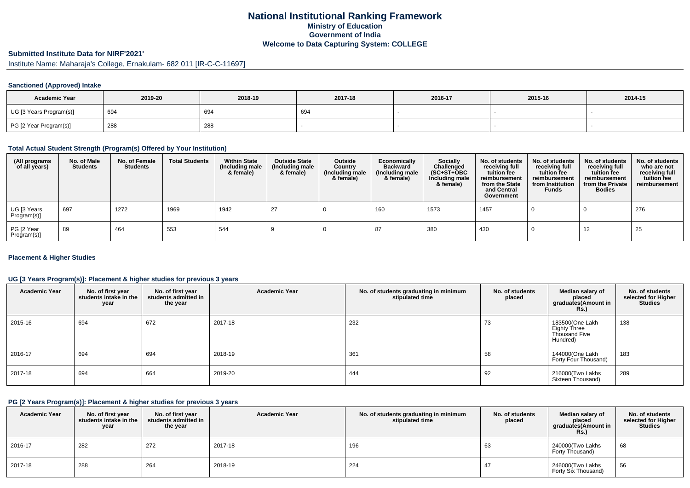# **National Institutional Ranking FrameworkMinistry of Education Government of IndiaWelcome to Data Capturing System: COLLEGE**

# **Submitted Institute Data for NIRF'2021'**

Institute Name: Maharaja's College, Ernakulam- 682 011 [IR-C-C-11697]

# **Sanctioned (Approved) Intake**

| <b>Academic Year</b>    | 2019-20 | 2018-19 | 2017-18 | 2016-17 | 2015-16 | 2014-15 |
|-------------------------|---------|---------|---------|---------|---------|---------|
| UG [3 Years Program(s)] | 694     | 694     | 694     |         |         |         |
| PG [2 Year Program(s)]  | 288     | 288     |         |         |         |         |

#### **Total Actual Student Strength (Program(s) Offered by Your Institution)**

| (All programs<br>of all years) | No. of Male<br><b>Students</b> | No. of Female<br><b>Students</b> | <b>Total Students</b> | <b>Within State</b><br>(Including male<br>& female) | <b>Outside State</b><br>(Including male<br>& female) | Outside<br>Country<br>(Including male<br>& female) | Economically<br><b>Backward</b><br>(Including male<br>& female) | <b>Socially</b><br>Challenged<br>$(SC+ST+OBC)$<br>Including male<br>& female) | No. of students<br>receiving full<br>tuition fee<br>reimbursement<br>from the State<br>and Central<br>Government | No. of students<br>receiving full<br>tuition fee<br>reimbursement<br>from Institution<br><b>Funds</b> | No. of students<br>receiving full<br>tuition fee<br>reimbursement<br>from the Private<br><b>Bodies</b> | No. of students<br>who are not<br>receiving full<br>tuition fee<br>reimbursement |
|--------------------------------|--------------------------------|----------------------------------|-----------------------|-----------------------------------------------------|------------------------------------------------------|----------------------------------------------------|-----------------------------------------------------------------|-------------------------------------------------------------------------------|------------------------------------------------------------------------------------------------------------------|-------------------------------------------------------------------------------------------------------|--------------------------------------------------------------------------------------------------------|----------------------------------------------------------------------------------|
| UG [3 Years<br>Program(s)]     | 697                            | 1272                             | 1969                  | 1942                                                | 27                                                   |                                                    | 160                                                             | 1573                                                                          | 1457                                                                                                             |                                                                                                       |                                                                                                        | 276                                                                              |
| PG [2 Year<br>Program(s)]      | 89                             | 464                              | 553                   | 544                                                 |                                                      |                                                    |                                                                 | 380                                                                           | 430                                                                                                              |                                                                                                       | 12                                                                                                     | 25                                                                               |

# **Placement & Higher Studies**

# **UG [3 Years Program(s)]: Placement & higher studies for previous 3 years**

| <b>Academic Year</b> | No. of first year<br>students intake in the<br>year | No. of first year<br>students admitted in<br>the year | <b>Academic Year</b> | No. of students graduating in minimum<br>stipulated time | No. of students<br>placed | Median salary of<br>placed<br>graduates(Amount in<br>Rs.)    | No. of students<br>selected for Higher<br><b>Studies</b> |
|----------------------|-----------------------------------------------------|-------------------------------------------------------|----------------------|----------------------------------------------------------|---------------------------|--------------------------------------------------------------|----------------------------------------------------------|
| 2015-16              | 694                                                 | 672                                                   | 2017-18              | 232                                                      | 73                        | 183500(One Lakh<br>Eighty Three<br>Thousand Five<br>Hundred) | 138                                                      |
| 2016-17              | 694                                                 | 694                                                   | 2018-19              | 361                                                      | 58                        | 144000(One Lakh<br>Forty Four Thousand)                      | 183                                                      |
| 2017-18              | 694                                                 | 664                                                   | 2019-20              | 444                                                      | 92                        | 216000(Two Lakhs<br>Sixteen Thousand)                        | 289                                                      |

# **PG [2 Years Program(s)]: Placement & higher studies for previous 3 years**

| <b>Academic Year</b> | No. of first year<br>students intake in the<br>year | No. of first year<br>students admitted in<br>the year | <b>Academic Year</b> | No. of students graduating in minimum<br>stipulated time | No. of students<br>placed | Median salary of<br>placed<br>graduates(Amount in<br><b>Rs.)</b> | No. of students<br>selected for Higher<br><b>Studies</b> |
|----------------------|-----------------------------------------------------|-------------------------------------------------------|----------------------|----------------------------------------------------------|---------------------------|------------------------------------------------------------------|----------------------------------------------------------|
| 2016-17              | 282                                                 | 272                                                   | 2017-18              | 196                                                      | 63                        | 240000 Two Lakhs<br>Forty Thousand)                              | 68                                                       |
| 2017-18              | 288                                                 | 264                                                   | 2018-19              | 224                                                      |                           | 246000 Two Lakhs<br>Forty Six Thousand)                          | 56                                                       |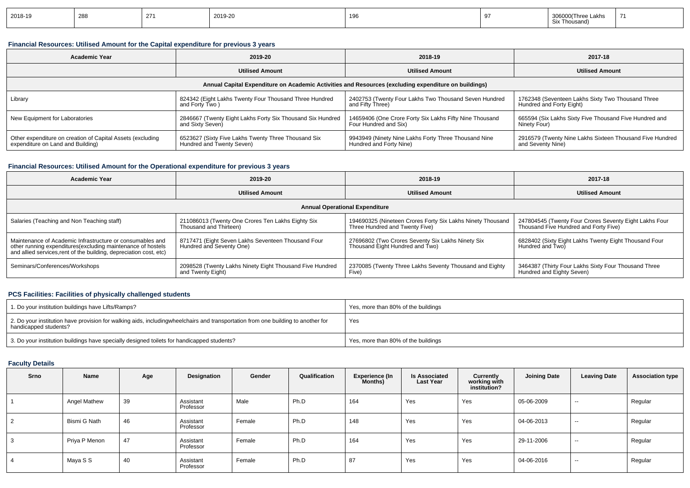| 2018-19 | 288 | つフィ | 2019-20 | 196 | .akhs<br><sup>2</sup> Thousano |  |
|---------|-----|-----|---------|-----|--------------------------------|--|
|         |     |     |         |     |                                |  |

# **Financial Resources: Utilised Amount for the Capital expenditure for previous 3 years**

| <b>Academic Year</b>                                       | 2019-20                                                                                              | 2018-19                                                 | 2017-18                                                  |  |
|------------------------------------------------------------|------------------------------------------------------------------------------------------------------|---------------------------------------------------------|----------------------------------------------------------|--|
|                                                            | <b>Utilised Amount</b>                                                                               | <b>Utilised Amount</b>                                  | <b>Utilised Amount</b>                                   |  |
|                                                            | Annual Capital Expenditure on Academic Activities and Resources (excluding expenditure on buildings) |                                                         |                                                          |  |
| Library                                                    | 824342 (Eight Lakhs Twenty Four Thousand Three Hundred                                               | 2402753 (Twenty Four Lakhs Two Thousand Seven Hundred   | 1762348 (Seventeen Lakhs Sixty Two Thousand Three        |  |
|                                                            | and Forty Two)                                                                                       | and Fifty Three)                                        | Hundred and Forty Eight)                                 |  |
| New Equipment for Laboratories                             | 2846667 (Twenty Eight Lakhs Forty Six Thousand Six Hundred                                           | 14659406 (One Crore Forty Six Lakhs Fifty Nine Thousand | 665594 (Six Lakhs Sixty Five Thousand Five Hundred and   |  |
|                                                            | and Sixty Seven)                                                                                     | Four Hundred and Six)                                   | Ninety Four)                                             |  |
| Other expenditure on creation of Capital Assets (excluding | 6523627 (Sixty Five Lakhs Twenty Three Thousand Six                                                  | 9943949 (Ninety Nine Lakhs Forty Three Thousand Nine    | 2916579 (Twenty Nine Lakhs Sixteen Thousand Five Hundred |  |
| expenditure on Land and Building)                          | Hundred and Twenty Seven)                                                                            | Hundred and Forty Nine)                                 | and Seventy Nine)                                        |  |

# **Financial Resources: Utilised Amount for the Operational expenditure for previous 3 years**

| Academic Year                                                                                                                                                                                   | 2019-20                                                                        | 2018-19                                                                                      | 2017-18                                                                                         |
|-------------------------------------------------------------------------------------------------------------------------------------------------------------------------------------------------|--------------------------------------------------------------------------------|----------------------------------------------------------------------------------------------|-------------------------------------------------------------------------------------------------|
|                                                                                                                                                                                                 | <b>Utilised Amount</b>                                                         | <b>Utilised Amount</b>                                                                       | <b>Utilised Amount</b>                                                                          |
|                                                                                                                                                                                                 |                                                                                | <b>Annual Operational Expenditure</b>                                                        |                                                                                                 |
| Salaries (Teaching and Non Teaching staff)                                                                                                                                                      | 211086013 (Twenty One Crores Ten Lakhs Eighty Six<br>Thousand and Thirteen)    | 194690325 (Nineteen Crores Forty Six Lakhs Ninety Thousand<br>Three Hundred and Twenty Five) | 247804545 (Twenty Four Crores Seventy Eight Lakhs Four<br>Thousand Five Hundred and Forty Five) |
| Maintenance of Academic Infrastructure or consumables and<br>other running expenditures (excluding maintenance of hostels<br>and allied services, rent of the building, depreciation cost, etc) | 8717471 (Eight Seven Lakhs Seventeen Thousand Four<br>Hundred and Seventy One) | 27696802 (Two Crores Seventy Six Lakhs Ninety Six<br>Thousand Eight Hundred and Two)         | 6828402 (Sixty Eight Lakhs Twenty Eight Thousand Four<br>Hundred and Two)                       |
| Seminars/Conferences/Workshops                                                                                                                                                                  | 2098528 (Twenty Lakhs Ninety Eight Thousand Five Hundred<br>and Twenty Eight)  | 2370085 (Twenty Three Lakhs Seventy Thousand and Eighty<br>Five)                             | 3464387 (Thirty Four Lakhs Sixty Four Thousand Three<br>Hundred and Eighty Seven)               |

# **PCS Facilities: Facilities of physically challenged students**

| 1. Do your institution buildings have Lifts/Ramps?                                                                                                        | Yes, more than 80% of the buildings |
|-----------------------------------------------------------------------------------------------------------------------------------------------------------|-------------------------------------|
| 2. Do your institution have provision for walking aids, includingwheelchairs and transportation from one building to another for<br>handicapped students? | Yes                                 |
| 3. Do your institution buildings have specially designed toilets for handicapped students?                                                                | Yes, more than 80% of the buildings |

# **Faculty Details**

| Srno       | Name          | Age | Designation            | Gender | Qualification | <b>Experience (In</b><br>Months) | <b>Is Associated</b><br><b>Last Year</b> | Currently<br>working with<br>institution? | <b>Joining Date</b> | <b>Leaving Date</b> | <b>Association type</b> |
|------------|---------------|-----|------------------------|--------|---------------|----------------------------------|------------------------------------------|-------------------------------------------|---------------------|---------------------|-------------------------|
|            | Angel Mathew  | 39  | Assistant<br>Professor | Male   | Ph.D          | 164                              | Yes                                      | Yes                                       | 05-06-2009          | $\sim$              | Regular                 |
| $\epsilon$ | Bismi G Nath  | 46  | Assistant<br>Professor | Female | Ph.D          | 148                              | Yes                                      | Yes                                       | 04-06-2013          | $\sim$              | Regular                 |
|            | Priya P Menon | 47  | Assistant<br>Professor | Female | Ph.D          | 164                              | Yes                                      | Yes                                       | 29-11-2006          | $\sim$              | Regular                 |
|            | Maya S S      | 40  | Assistant<br>Professor | Female | Ph.D          | 87                               | Yes                                      | Yes                                       | 04-06-2016          | $\sim$              | Regular                 |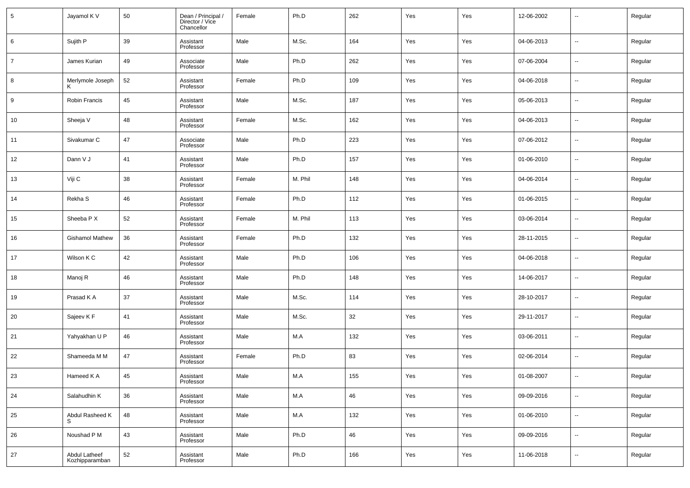| $5\phantom{.0}$ | Jayamol K V                     | 50 | Dean / Principal /<br>Director / Vice<br>Chancellor | Female | Ph.D    | 262 | Yes | Yes | 12-06-2002 | $\overline{\phantom{a}}$ | Regular |
|-----------------|---------------------------------|----|-----------------------------------------------------|--------|---------|-----|-----|-----|------------|--------------------------|---------|
| 6               | Sujith P                        | 39 | Assistant<br>Professor                              | Male   | M.Sc.   | 164 | Yes | Yes | 04-06-2013 | $\sim$                   | Regular |
| $\overline{7}$  | James Kurian                    | 49 | Associate<br>Professor                              | Male   | Ph.D    | 262 | Yes | Yes | 07-06-2004 | $\sim$                   | Regular |
| 8               | Merlymole Joseph                | 52 | Assistant<br>Professor                              | Female | Ph.D    | 109 | Yes | Yes | 04-06-2018 | $\sim$                   | Regular |
| 9               | Robin Francis                   | 45 | Assistant<br>Professor                              | Male   | M.Sc.   | 187 | Yes | Yes | 05-06-2013 | $\sim$                   | Regular |
| 10              | Sheeja V                        | 48 | Assistant<br>Professor                              | Female | M.Sc.   | 162 | Yes | Yes | 04-06-2013 | $\sim$                   | Regular |
| 11              | Sivakumar C                     | 47 | Associate<br>Professor                              | Male   | Ph.D    | 223 | Yes | Yes | 07-06-2012 | $\sim$                   | Regular |
| 12              | Dann V J                        | 41 | Assistant<br>Professor                              | Male   | Ph.D    | 157 | Yes | Yes | 01-06-2010 | $\sim$                   | Regular |
| 13              | Viji C                          | 38 | Assistant<br>Professor                              | Female | M. Phil | 148 | Yes | Yes | 04-06-2014 | $\sim$                   | Regular |
| 14              | Rekha S                         | 46 | Assistant<br>Professor                              | Female | Ph.D    | 112 | Yes | Yes | 01-06-2015 | $\overline{\phantom{a}}$ | Regular |
| 15              | Sheeba P X                      | 52 | Assistant<br>Professor                              | Female | M. Phil | 113 | Yes | Yes | 03-06-2014 | $\overline{\phantom{a}}$ | Regular |
| 16              | <b>Gishamol Mathew</b>          | 36 | Assistant<br>Professor                              | Female | Ph.D    | 132 | Yes | Yes | 28-11-2015 | $\overline{\phantom{a}}$ | Regular |
| 17              | Wilson K C                      | 42 | Assistant<br>Professor                              | Male   | Ph.D    | 106 | Yes | Yes | 04-06-2018 | $\overline{\phantom{a}}$ | Regular |
| 18              | Manoj R                         | 46 | Assistant<br>Professor                              | Male   | Ph.D    | 148 | Yes | Yes | 14-06-2017 | $\overline{\phantom{a}}$ | Regular |
| 19              | Prasad K A                      | 37 | Assistant<br>Professor                              | Male   | M.Sc.   | 114 | Yes | Yes | 28-10-2017 | $\overline{\phantom{a}}$ | Regular |
| 20              | Sajeev K F                      | 41 | Assistant<br>Professor                              | Male   | M.Sc.   | 32  | Yes | Yes | 29-11-2017 | $\overline{\phantom{a}}$ | Regular |
| 21              | Yahyakhan U P                   | 46 | Assistant<br>Professor                              | Male   | M.A     | 132 | Yes | Yes | 03-06-2011 | $\overline{\phantom{a}}$ | Regular |
| 22              | Shameeda M M                    | 47 | Assistant<br>Professor                              | Female | Ph.D    | 83  | Yes | Yes | 02-06-2014 | $\sim$                   | Regular |
| 23              | Hameed K A                      | 45 | Assistant<br>Professor                              | Male   | M.A     | 155 | Yes | Yes | 01-08-2007 | $\overline{\phantom{a}}$ | Regular |
| 24              | Salahudhin K                    | 36 | Assistant<br>Professor                              | Male   | M.A     | 46  | Yes | Yes | 09-09-2016 | $\overline{\phantom{a}}$ | Regular |
| 25              | Abdul Rasheed K                 | 48 | Assistant<br>Professor                              | Male   | $M.A$   | 132 | Yes | Yes | 01-06-2010 | $\overline{\phantom{a}}$ | Regular |
| 26              | Noushad P M                     | 43 | Assistant<br>Professor                              | Male   | Ph.D    | 46  | Yes | Yes | 09-09-2016 | $\sim$                   | Regular |
| $27\,$          | Abdul Latheef<br>Kozhipparamban | 52 | Assistant<br>Professor                              | Male   | Ph.D    | 166 | Yes | Yes | 11-06-2018 | $\overline{\phantom{a}}$ | Regular |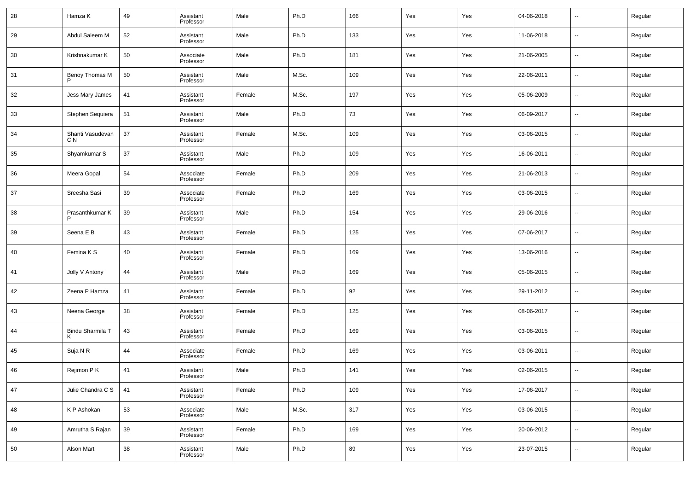| 28 | Hamza K                 | 49 | Assistant<br>Professor | Male   | Ph.D  | 166 | Yes | Yes | 04-06-2018 | $\overline{\phantom{a}}$ | Regular |
|----|-------------------------|----|------------------------|--------|-------|-----|-----|-----|------------|--------------------------|---------|
| 29 | Abdul Saleem M          | 52 | Assistant<br>Professor | Male   | Ph.D  | 133 | Yes | Yes | 11-06-2018 | $\overline{\phantom{a}}$ | Regular |
| 30 | Krishnakumar K          | 50 | Associate<br>Professor | Male   | Ph.D  | 181 | Yes | Yes | 21-06-2005 | $\overline{\phantom{a}}$ | Regular |
| 31 | Benoy Thomas M          | 50 | Assistant<br>Professor | Male   | M.Sc. | 109 | Yes | Yes | 22-06-2011 | $\overline{\phantom{a}}$ | Regular |
| 32 | Jess Mary James         | 41 | Assistant<br>Professor | Female | M.Sc. | 197 | Yes | Yes | 05-06-2009 | $\overline{\phantom{a}}$ | Regular |
| 33 | Stephen Sequiera        | 51 | Assistant<br>Professor | Male   | Ph.D  | 73  | Yes | Yes | 06-09-2017 | $\overline{\phantom{a}}$ | Regular |
| 34 | Shanti Vasudevan<br>C N | 37 | Assistant<br>Professor | Female | M.Sc. | 109 | Yes | Yes | 03-06-2015 | $\overline{\phantom{a}}$ | Regular |
| 35 | Shyamkumar S            | 37 | Assistant<br>Professor | Male   | Ph.D  | 109 | Yes | Yes | 16-06-2011 | $\overline{\phantom{a}}$ | Regular |
| 36 | Meera Gopal             | 54 | Associate<br>Professor | Female | Ph.D  | 209 | Yes | Yes | 21-06-2013 | $\overline{\phantom{a}}$ | Regular |
| 37 | Sreesha Sasi            | 39 | Associate<br>Professor | Female | Ph.D  | 169 | Yes | Yes | 03-06-2015 | $\overline{\phantom{a}}$ | Regular |
| 38 | Prasanthkumar K         | 39 | Assistant<br>Professor | Male   | Ph.D  | 154 | Yes | Yes | 29-06-2016 | $\overline{\phantom{a}}$ | Regular |
| 39 | Seena E B               | 43 | Assistant<br>Professor | Female | Ph.D  | 125 | Yes | Yes | 07-06-2017 | $\overline{\phantom{a}}$ | Regular |
| 40 | Femina K S              | 40 | Assistant<br>Professor | Female | Ph.D  | 169 | Yes | Yes | 13-06-2016 | $\overline{\phantom{a}}$ | Regular |
| 41 | Jolly V Antony          | 44 | Assistant<br>Professor | Male   | Ph.D  | 169 | Yes | Yes | 05-06-2015 | $\overline{\phantom{a}}$ | Regular |
| 42 | Zeena P Hamza           | 41 | Assistant<br>Professor | Female | Ph.D  | 92  | Yes | Yes | 29-11-2012 | $\overline{\phantom{a}}$ | Regular |
| 43 | Neena George            | 38 | Assistant<br>Professor | Female | Ph.D  | 125 | Yes | Yes | 08-06-2017 | $\overline{\phantom{a}}$ | Regular |
| 44 | Bindu Sharmila T        | 43 | Assistant<br>Professor | Female | Ph.D  | 169 | Yes | Yes | 03-06-2015 | --                       | Regular |
| 45 | Suja N R                | 44 | Associate<br>Professor | Female | Ph.D  | 169 | Yes | Yes | 03-06-2011 | $\overline{\phantom{a}}$ | Regular |
| 46 | Rejimon P K             | 41 | Assistant<br>Professor | Male   | Ph.D  | 141 | Yes | Yes | 02-06-2015 | $\overline{\phantom{a}}$ | Regular |
| 47 | Julie Chandra C S       | 41 | Assistant<br>Professor | Female | Ph.D  | 109 | Yes | Yes | 17-06-2017 | $\sim$                   | Regular |
| 48 | K P Ashokan             | 53 | Associate<br>Professor | Male   | M.Sc. | 317 | Yes | Yes | 03-06-2015 | $\overline{\phantom{a}}$ | Regular |
| 49 | Amrutha S Rajan         | 39 | Assistant<br>Professor | Female | Ph.D  | 169 | Yes | Yes | 20-06-2012 | $\overline{\phantom{a}}$ | Regular |
| 50 | Alson Mart              | 38 | Assistant<br>Professor | Male   | Ph.D  | 89  | Yes | Yes | 23-07-2015 | $\overline{\phantom{a}}$ | Regular |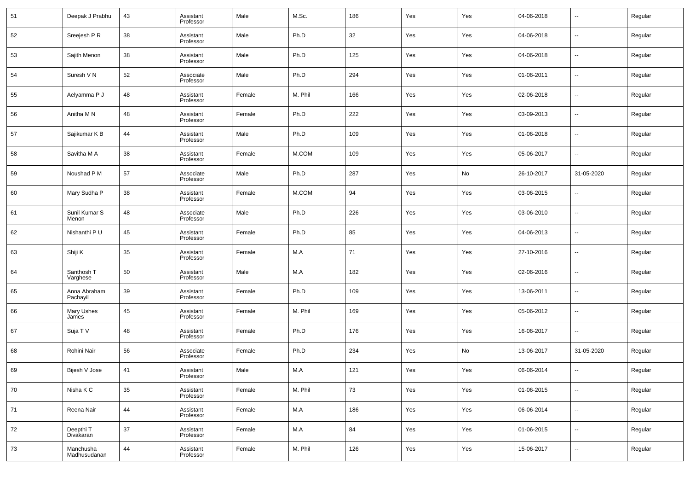| 51 | Deepak J Prabhu           | 43 | Assistant<br>Professor | Male   | M.Sc.   | 186 | Yes | Yes | 04-06-2018 | $\overline{\phantom{a}}$ | Regular |
|----|---------------------------|----|------------------------|--------|---------|-----|-----|-----|------------|--------------------------|---------|
| 52 | Sreejesh P R              | 38 | Assistant<br>Professor | Male   | Ph.D    | 32  | Yes | Yes | 04-06-2018 | $\overline{\phantom{a}}$ | Regular |
| 53 | Sajith Menon              | 38 | Assistant<br>Professor | Male   | Ph.D    | 125 | Yes | Yes | 04-06-2018 | $\overline{\phantom{a}}$ | Regular |
| 54 | Suresh V N                | 52 | Associate<br>Professor | Male   | Ph.D    | 294 | Yes | Yes | 01-06-2011 | $\overline{\phantom{a}}$ | Regular |
| 55 | Aelyamma P J              | 48 | Assistant<br>Professor | Female | M. Phil | 166 | Yes | Yes | 02-06-2018 | $\overline{\phantom{a}}$ | Regular |
| 56 | Anitha M N                | 48 | Assistant<br>Professor | Female | Ph.D    | 222 | Yes | Yes | 03-09-2013 | $\overline{\phantom{a}}$ | Regular |
| 57 | Sajikumar K B             | 44 | Assistant<br>Professor | Male   | Ph.D    | 109 | Yes | Yes | 01-06-2018 | $\overline{\phantom{a}}$ | Regular |
| 58 | Savitha M A               | 38 | Assistant<br>Professor | Female | M.COM   | 109 | Yes | Yes | 05-06-2017 | $\overline{\phantom{a}}$ | Regular |
| 59 | Noushad P M               | 57 | Associate<br>Professor | Male   | Ph.D    | 287 | Yes | No  | 26-10-2017 | 31-05-2020               | Regular |
| 60 | Mary Sudha P              | 38 | Assistant<br>Professor | Female | M.COM   | 94  | Yes | Yes | 03-06-2015 | $\overline{\phantom{a}}$ | Regular |
| 61 | Sunil Kumar S<br>Menon    | 48 | Associate<br>Professor | Male   | Ph.D    | 226 | Yes | Yes | 03-06-2010 | $\overline{\phantom{a}}$ | Regular |
| 62 | Nishanthi P U             | 45 | Assistant<br>Professor | Female | Ph.D    | 85  | Yes | Yes | 04-06-2013 | $\overline{\phantom{a}}$ | Regular |
| 63 | Shiji K                   | 35 | Assistant<br>Professor | Female | M.A     | 71  | Yes | Yes | 27-10-2016 | $\overline{\phantom{a}}$ | Regular |
| 64 | Santhosh T<br>Varghese    | 50 | Assistant<br>Professor | Male   | M.A     | 182 | Yes | Yes | 02-06-2016 | $\overline{\phantom{a}}$ | Regular |
| 65 | Anna Abraham<br>Pachayil  | 39 | Assistant<br>Professor | Female | Ph.D    | 109 | Yes | Yes | 13-06-2011 | $\overline{\phantom{a}}$ | Regular |
| 66 | Mary Ushes<br>James       | 45 | Assistant<br>Professor | Female | M. Phil | 169 | Yes | Yes | 05-06-2012 | $\overline{\phantom{a}}$ | Regular |
| 67 | Suja T V                  | 48 | Assistant<br>Professor | Female | Ph.D    | 176 | Yes | Yes | 16-06-2017 | $\overline{\phantom{a}}$ | Regular |
| 68 | Rohini Nair               | 56 | Associate<br>Professor | Female | Ph.D    | 234 | Yes | No  | 13-06-2017 | 31-05-2020               | Regular |
| 69 | Bijesh V Jose             | 41 | Assistant<br>Professor | Male   | M.A     | 121 | Yes | Yes | 06-06-2014 | $\overline{\phantom{a}}$ | Regular |
| 70 | Nisha K C                 | 35 | Assistant<br>Professor | Female | M. Phil | 73  | Yes | Yes | 01-06-2015 | $\overline{\phantom{a}}$ | Regular |
| 71 | Reena Nair                | 44 | Assistant<br>Professor | Female | M.A     | 186 | Yes | Yes | 06-06-2014 | $\overline{\phantom{a}}$ | Regular |
| 72 | Deepthi T<br>Divakaran    | 37 | Assistant<br>Professor | Female | M.A     | 84  | Yes | Yes | 01-06-2015 | $\overline{\phantom{a}}$ | Regular |
| 73 | Manchusha<br>Madhusudanan | 44 | Assistant<br>Professor | Female | M. Phil | 126 | Yes | Yes | 15-06-2017 | $\overline{\phantom{a}}$ | Regular |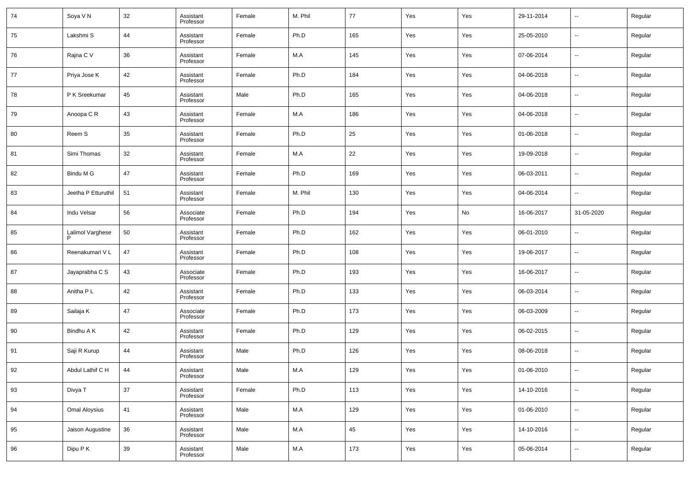| 74 | Soya V N            | 32     | Assistant<br>Professor | Female | M. Phil | 77          | Yes | Yes | 29-11-2014 | $\overline{\phantom{a}}$ | Regular |
|----|---------------------|--------|------------------------|--------|---------|-------------|-----|-----|------------|--------------------------|---------|
| 75 | Lakshmi S           | 44     | Assistant<br>Professor | Female | Ph.D    | 165         | Yes | Yes | 25-05-2010 | $\overline{\phantom{a}}$ | Regular |
| 76 | Rajna C V           | 36     | Assistant<br>Professor | Female | M.A     | 145         | Yes | Yes | 07-06-2014 | $\overline{\phantom{a}}$ | Regular |
| 77 | Priya Jose K        | 42     | Assistant<br>Professor | Female | Ph.D    | 184         | Yes | Yes | 04-06-2018 | $\overline{\phantom{a}}$ | Regular |
| 78 | P K Sreekumar       | 45     | Assistant<br>Professor | Male   | Ph.D    | 165         | Yes | Yes | 04-06-2018 | $\overline{\phantom{a}}$ | Regular |
| 79 | Anoopa C R          | 43     | Assistant<br>Professor | Female | M.A     | 186         | Yes | Yes | 04-06-2018 | $\overline{\phantom{a}}$ | Regular |
| 80 | Reem S              | 35     | Assistant<br>Professor | Female | Ph.D    | 25          | Yes | Yes | 01-06-2018 | $\overline{\phantom{a}}$ | Regular |
| 81 | Simi Thomas         | 32     | Assistant<br>Professor | Female | M.A     | 22          | Yes | Yes | 19-09-2018 | $\overline{\phantom{a}}$ | Regular |
| 82 | Bindu M G           | 47     | Assistant<br>Professor | Female | Ph.D    | 169         | Yes | Yes | 06-03-2011 | $\overline{\phantom{a}}$ | Regular |
| 83 | Jeetha P Etturuthil | 51     | Assistant<br>Professor | Female | M. Phil | 130         | Yes | Yes | 04-06-2014 | --                       | Regular |
| 84 | Indu Velsar         | 56     | Associate<br>Professor | Female | Ph.D    | 194         | Yes | No  | 16-06-2017 | 31-05-2020               | Regular |
| 85 | Lalimol Varghese    | 50     | Assistant<br>Professor | Female | Ph.D    | 162         | Yes | Yes | 06-01-2010 | $\overline{\phantom{a}}$ | Regular |
| 86 | Reenakumari VL      | 47     | Assistant<br>Professor | Female | Ph.D    | 108         | Yes | Yes | 19-06-2017 | $\overline{\phantom{a}}$ | Regular |
| 87 | Jayaprabha C S      | 43     | Associate<br>Professor | Female | Ph.D    | 193         | Yes | Yes | 16-06-2017 | $\overline{\phantom{a}}$ | Regular |
| 88 | Anitha P L          | 42     | Assistant<br>Professor | Female | Ph.D    | 133         | Yes | Yes | 06-03-2014 | $\overline{\phantom{a}}$ | Regular |
| 89 | Sailaja K           | 47     | Associate<br>Professor | Female | Ph.D    | 173         | Yes | Yes | 06-03-2009 | $\overline{\phantom{a}}$ | Regular |
| 90 | Bindhu A K          | 42     | Assistant<br>Professor | Female | Ph.D    | 129         | Yes | Yes | 06-02-2015 | $\overline{\phantom{a}}$ | Regular |
| 91 | Saji R Kurup        | 44     | Assistant<br>Professor | Male   | Ph.D    | 126         | Yes | Yes | 08-06-2018 | $\overline{\phantom{a}}$ | Regular |
| 92 | Abdul Lathif C H    | 44     | Assistant<br>Professor | Male   | M.A     | 129         | Yes | Yes | 01-06-2010 | $\overline{\phantom{a}}$ | Regular |
| 93 | Divya T             | $37\,$ | Assistant<br>Professor | Female | Ph.D    | 113         | Yes | Yes | 14-10-2016 | $\overline{\phantom{a}}$ | Regular |
| 94 | Omal Aloysius       | 41     | Assistant<br>Professor | Male   | M.A     | 129         | Yes | Yes | 01-06-2010 | $\overline{\phantom{a}}$ | Regular |
| 95 | Jaison Augustine    | 36     | Assistant<br>Professor | Male   | M.A     | $\sqrt{45}$ | Yes | Yes | 14-10-2016 | $\overline{\phantom{a}}$ | Regular |
| 96 | Dipu P K            | 39     | Assistant<br>Professor | Male   | M.A     | 173         | Yes | Yes | 05-06-2014 | $\overline{\phantom{a}}$ | Regular |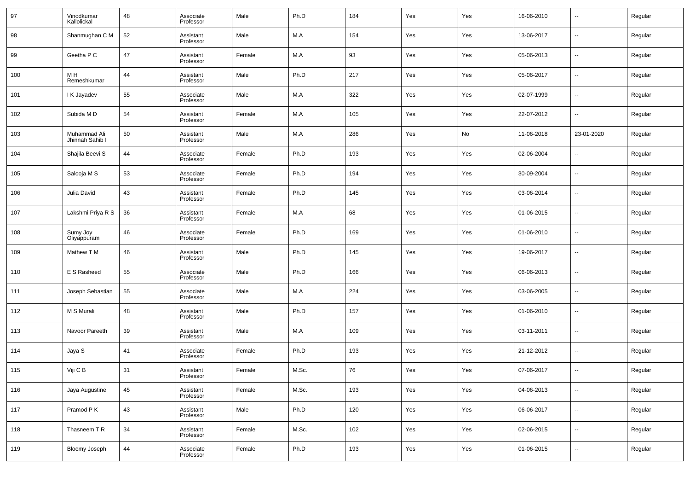| 97  | Vinodkumar<br>Kallolickal       | 48 | Associate<br>Professor | Male   | Ph.D  | 184 | Yes | Yes | 16-06-2010 | --         | Regular |
|-----|---------------------------------|----|------------------------|--------|-------|-----|-----|-----|------------|------------|---------|
| 98  | Shanmughan C M                  | 52 | Assistant<br>Professor | Male   | M.A   | 154 | Yes | Yes | 13-06-2017 | --         | Regular |
| 99  | Geetha P C                      | 47 | Assistant<br>Professor | Female | M.A   | 93  | Yes | Yes | 05-06-2013 | --         | Regular |
| 100 | M H<br>Remeshkumar              | 44 | Assistant<br>Professor | Male   | Ph.D  | 217 | Yes | Yes | 05-06-2017 | --         | Regular |
| 101 | I K Jayadev                     | 55 | Associate<br>Professor | Male   | M.A   | 322 | Yes | Yes | 02-07-1999 | --         | Regular |
| 102 | Subida M D                      | 54 | Assistant<br>Professor | Female | M.A   | 105 | Yes | Yes | 22-07-2012 | --         | Regular |
| 103 | Muhammad Ali<br>Jhinnah Sahib I | 50 | Assistant<br>Professor | Male   | M.A   | 286 | Yes | No  | 11-06-2018 | 23-01-2020 | Regular |
| 104 | Shajila Beevi S                 | 44 | Associate<br>Professor | Female | Ph.D  | 193 | Yes | Yes | 02-06-2004 | --         | Regular |
| 105 | Salooja M S                     | 53 | Associate<br>Professor | Female | Ph.D  | 194 | Yes | Yes | 30-09-2004 | --         | Regular |
| 106 | Julia David                     | 43 | Assistant<br>Professor | Female | Ph.D  | 145 | Yes | Yes | 03-06-2014 | --         | Regular |
| 107 | Lakshmi Priya R S               | 36 | Assistant<br>Professor | Female | M.A   | 68  | Yes | Yes | 01-06-2015 | --         | Regular |
| 108 | Sumy Joy<br>Oliyappuram         | 46 | Associate<br>Professor | Female | Ph.D  | 169 | Yes | Yes | 01-06-2010 | --         | Regular |
| 109 | Mathew T M                      | 46 | Assistant<br>Professor | Male   | Ph.D  | 145 | Yes | Yes | 19-06-2017 | --         | Regular |
| 110 | E S Rasheed                     | 55 | Associate<br>Professor | Male   | Ph.D  | 166 | Yes | Yes | 06-06-2013 | --         | Regular |
| 111 | Joseph Sebastian                | 55 | Associate<br>Professor | Male   | M.A   | 224 | Yes | Yes | 03-06-2005 | --         | Regular |
| 112 | M S Murali                      | 48 | Assistant<br>Professor | Male   | Ph.D  | 157 | Yes | Yes | 01-06-2010 | --         | Regular |
| 113 | Navoor Pareeth                  | 39 | Assistant<br>Professor | Male   | M.A   | 109 | Yes | Yes | 03-11-2011 | --         | Regular |
| 114 | Jaya S                          | 41 | Associate<br>Professor | Female | Ph.D  | 193 | Yes | Yes | 21-12-2012 | --         | Regular |
| 115 | Viji C B                        | 31 | Assistant<br>Professor | Female | M.Sc. | 76  | Yes | Yes | 07-06-2017 | --         | Regular |
| 116 | Jaya Augustine                  | 45 | Assistant<br>Professor | Female | M.Sc. | 193 | Yes | Yes | 04-06-2013 | $\sim$     | Regular |
| 117 | Pramod P K                      | 43 | Assistant<br>Professor | Male   | Ph.D  | 120 | Yes | Yes | 06-06-2017 | $\sim$     | Regular |
| 118 | Thasneem TR                     | 34 | Assistant<br>Professor | Female | M.Sc. | 102 | Yes | Yes | 02-06-2015 | $\sim$     | Regular |
| 119 | Bloomy Joseph                   | 44 | Associate<br>Professor | Female | Ph.D  | 193 | Yes | Yes | 01-06-2015 | $\sim$     | Regular |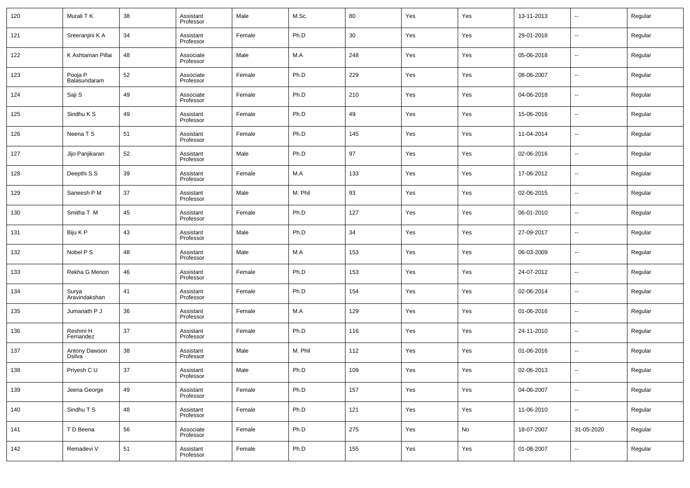| 120 | Murali T K              | 38 | Assistant<br>Professor | Male   | M.Sc.   | 80  | Yes | Yes | 13-11-2013 | $\overline{\phantom{a}}$ | Regular |
|-----|-------------------------|----|------------------------|--------|---------|-----|-----|-----|------------|--------------------------|---------|
| 121 | Sreeranjini K A         | 34 | Assistant<br>Professor | Female | Ph.D    | 30  | Yes | Yes | 29-01-2018 | $\overline{\phantom{a}}$ | Regular |
| 122 | K Ashtaman Pillai       | 48 | Associate<br>Professor | Male   | M.A     | 248 | Yes | Yes | 05-06-2018 | $\sim$                   | Regular |
| 123 | Pooja P<br>Balasundaram | 52 | Associate<br>Professor | Female | Ph.D    | 229 | Yes | Yes | 08-06-2007 | $\overline{\phantom{a}}$ | Regular |
| 124 | Saji S                  | 49 | Associate<br>Professor | Female | Ph.D    | 210 | Yes | Yes | 04-06-2018 | $\overline{\phantom{a}}$ | Regular |
| 125 | Sindhu K S              | 49 | Assistant<br>Professor | Female | Ph.D    | 49  | Yes | Yes | 15-06-2016 | $\overline{\phantom{a}}$ | Regular |
| 126 | Neena T S               | 51 | Assistant<br>Professor | Female | Ph.D    | 145 | Yes | Yes | 11-04-2014 | $\overline{\phantom{a}}$ | Regular |
| 127 | Jijo Panjikaran         | 52 | Assistant<br>Professor | Male   | Ph.D    | 97  | Yes | Yes | 02-06-2016 | $\overline{\phantom{a}}$ | Regular |
| 128 | Deepthi S S             | 39 | Assistant<br>Professor | Female | M.A     | 133 | Yes | Yes | 17-06-2012 | $\overline{\phantom{a}}$ | Regular |
| 129 | Saneesh P M             | 37 | Assistant<br>Professor | Male   | M. Phil | 93  | Yes | Yes | 02-06-2015 | $\sim$                   | Regular |
| 130 | Smitha T M              | 45 | Assistant<br>Professor | Female | Ph.D    | 127 | Yes | Yes | 06-01-2010 | $\overline{\phantom{a}}$ | Regular |
| 131 | Biju K P                | 43 | Assistant<br>Professor | Male   | Ph.D    | 34  | Yes | Yes | 27-09-2017 | $\overline{\phantom{a}}$ | Regular |
| 132 | Nobel P S               | 48 | Assistant<br>Professor | Male   | M.A     | 153 | Yes | Yes | 06-03-2009 | $\overline{\phantom{a}}$ | Regular |
| 133 | Rekha G Menon           | 46 | Assistant<br>Professor | Female | Ph.D    | 153 | Yes | Yes | 24-07-2012 | $\overline{\phantom{a}}$ | Regular |
| 134 | Surya<br>Aravindakshan  | 41 | Assistant<br>Professor | Female | Ph.D    | 154 | Yes | Yes | 02-06-2014 | $\overline{\phantom{a}}$ | Regular |
| 135 | Jumanath P J            | 36 | Assistant<br>Professor | Female | M.A     | 129 | Yes | Yes | 01-06-2016 | $\overline{\phantom{a}}$ | Regular |
| 136 | Reshmi H<br>Fernandez   | 37 | Assistant<br>Professor | Female | Ph.D    | 116 | Yes | Yes | 24-11-2010 | $\overline{\phantom{a}}$ | Regular |
| 137 | Antony Dawson<br>Dsilva | 38 | Assistant<br>Professor | Male   | M. Phil | 112 | Yes | Yes | 01-06-2016 | $\overline{\phantom{a}}$ | Regular |
| 138 | Priyesh C U             | 37 | Assistant<br>Professor | Male   | Ph.D    | 109 | Yes | Yes | 02-06-2013 | $\overline{\phantom{a}}$ | Regular |
| 139 | Jeena George            | 49 | Assistant<br>Professor | Female | Ph.D    | 157 | Yes | Yes | 04-06-2007 | $\overline{\phantom{a}}$ | Regular |
| 140 | Sindhu T S              | 48 | Assistant<br>Professor | Female | Ph.D    | 121 | Yes | Yes | 11-06-2010 | $\sim$                   | Regular |
| 141 | T D Beena               | 56 | Associate<br>Professor | Female | Ph.D    | 275 | Yes | No  | 18-07-2007 | 31-05-2020               | Regular |
| 142 | Remadevi V              | 51 | Assistant<br>Professor | Female | Ph.D    | 155 | Yes | Yes | 01-08-2007 | $\overline{\phantom{a}}$ | Regular |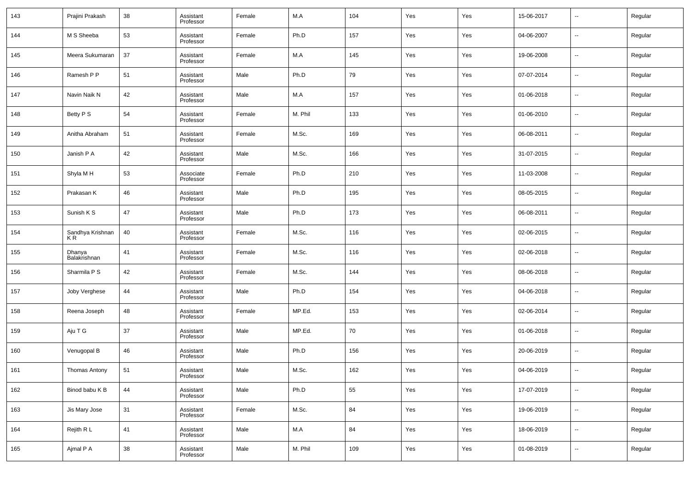| 143 | Prajini Prakash         | 38 | Assistant<br>Professor | Female | M.A     | 104 | Yes | Yes | 15-06-2017 | --                       | Regular |
|-----|-------------------------|----|------------------------|--------|---------|-----|-----|-----|------------|--------------------------|---------|
| 144 | M S Sheeba              | 53 | Assistant<br>Professor | Female | Ph.D    | 157 | Yes | Yes | 04-06-2007 | --                       | Regular |
| 145 | Meera Sukumaran         | 37 | Assistant<br>Professor | Female | M.A     | 145 | Yes | Yes | 19-06-2008 | $\sim$                   | Regular |
| 146 | Ramesh P P              | 51 | Assistant<br>Professor | Male   | Ph.D    | 79  | Yes | Yes | 07-07-2014 | $\sim$                   | Regular |
| 147 | Navin Naik N            | 42 | Assistant<br>Professor | Male   | M.A     | 157 | Yes | Yes | 01-06-2018 | $\sim$                   | Regular |
| 148 | Betty P S               | 54 | Assistant<br>Professor | Female | M. Phil | 133 | Yes | Yes | 01-06-2010 | $\sim$                   | Regular |
| 149 | Anitha Abraham          | 51 | Assistant<br>Professor | Female | M.Sc.   | 169 | Yes | Yes | 06-08-2011 | $\sim$                   | Regular |
| 150 | Janish P A              | 42 | Assistant<br>Professor | Male   | M.Sc.   | 166 | Yes | Yes | 31-07-2015 | $\sim$                   | Regular |
| 151 | Shyla MH                | 53 | Associate<br>Professor | Female | Ph.D    | 210 | Yes | Yes | 11-03-2008 | $\sim$                   | Regular |
| 152 | Prakasan K              | 46 | Assistant<br>Professor | Male   | Ph.D    | 195 | Yes | Yes | 08-05-2015 | --                       | Regular |
| 153 | Sunish K S              | 47 | Assistant<br>Professor | Male   | Ph.D    | 173 | Yes | Yes | 06-08-2011 | $\sim$                   | Regular |
| 154 | Sandhya Krishnan<br>KR. | 40 | Assistant<br>Professor | Female | M.Sc.   | 116 | Yes | Yes | 02-06-2015 | --                       | Regular |
| 155 | Dhanya<br>Balakrishnan  | 41 | Assistant<br>Professor | Female | M.Sc.   | 116 | Yes | Yes | 02-06-2018 | $\sim$                   | Regular |
| 156 | Sharmila P S            | 42 | Assistant<br>Professor | Female | M.Sc.   | 144 | Yes | Yes | 08-06-2018 | --                       | Regular |
| 157 | Joby Verghese           | 44 | Assistant<br>Professor | Male   | Ph.D    | 154 | Yes | Yes | 04-06-2018 | --                       | Regular |
| 158 | Reena Joseph            | 48 | Assistant<br>Professor | Female | MP.Ed.  | 153 | Yes | Yes | 02-06-2014 | --                       | Regular |
| 159 | Aju T G                 | 37 | Assistant<br>Professor | Male   | MP.Ed.  | 70  | Yes | Yes | 01-06-2018 | --                       | Regular |
| 160 | Venugopal B             | 46 | Assistant<br>Professor | Male   | Ph.D    | 156 | Yes | Yes | 20-06-2019 | --                       | Regular |
| 161 | Thomas Antony           | 51 | Assistant<br>Professor | Male   | M.Sc.   | 162 | Yes | Yes | 04-06-2019 | ۰.                       | Regular |
| 162 | Binod babu K B          | 44 | Assistant<br>Professor | Male   | Ph.D    | 55  | Yes | Yes | 17-07-2019 | $\sim$                   | Regular |
| 163 | Jis Mary Jose           | 31 | Assistant<br>Professor | Female | M.Sc.   | 84  | Yes | Yes | 19-06-2019 | $\overline{\phantom{a}}$ | Regular |
| 164 | Rejith R L              | 41 | Assistant<br>Professor | Male   | M.A     | 84  | Yes | Yes | 18-06-2019 | $\sim$                   | Regular |
| 165 | Ajmal P A               | 38 | Assistant<br>Professor | Male   | M. Phil | 109 | Yes | Yes | 01-08-2019 | $\sim$                   | Regular |